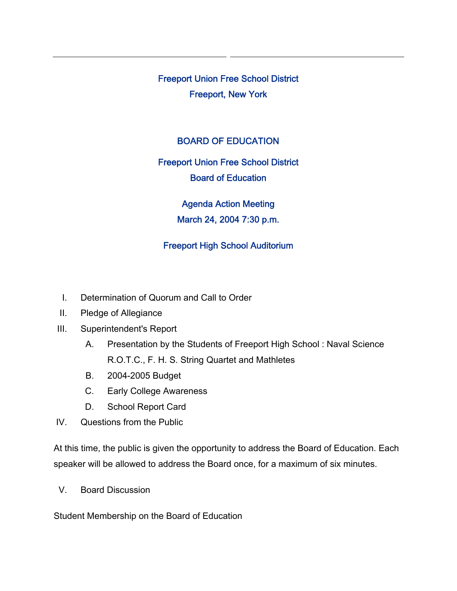Freeport Union Free School District Freeport, New York

## BOARD OF EDUCATION

Freeport Union Free School District Board of Education

> Agenda Action Meeting March 24, 2004 7:30 p.m.

## Freeport High School Auditorium

- I. Determination of Quorum and Call to Order
- II. Pledge of Allegiance
- III. Superintendent's Report
	- A. Presentation by the Students of Freeport High School : Naval Science R.O.T.C., F. H. S. String Quartet and Mathletes
	- B. 2004-2005 Budget
	- C. Early College Awareness
	- D. School Report Card
- IV. Questions from the Public

At this time, the public is given the opportunity to address the Board of Education. Each speaker will be allowed to address the Board once, for a maximum of six minutes.

V. Board Discussion

Student Membership on the Board of Education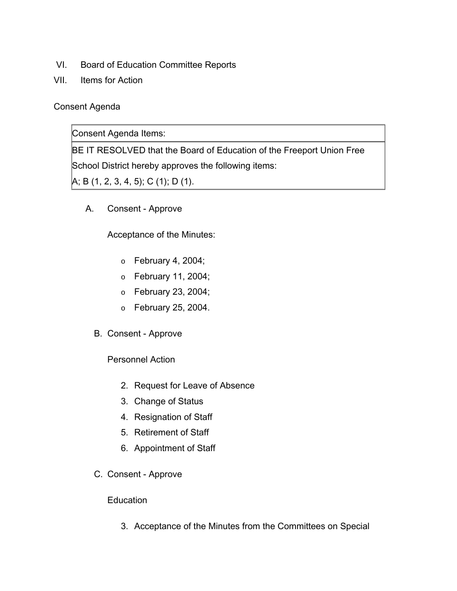- VI. Board of Education Committee Reports
- VII. Items for Action

Consent Agenda

Consent Agenda Items:

BE IT RESOLVED that the Board of Education of the Freeport Union Free

School District hereby approves the following items:

A; B (1, 2, 3, 4, 5); C (1); D (1).

A. Consent - Approve

Acceptance of the Minutes:

- o February 4, 2004;
- o February 11, 2004;
- o February 23, 2004;
- o February 25, 2004.
- B. Consent Approve

Personnel Action

- 2. Request for Leave of Absence
- 3. Change of Status
- 4. Resignation of Staff
- 5. Retirement of Staff
- 6. Appointment of Staff
- C. Consent Approve

## **Education**

3. Acceptance of the Minutes from the Committees on Special